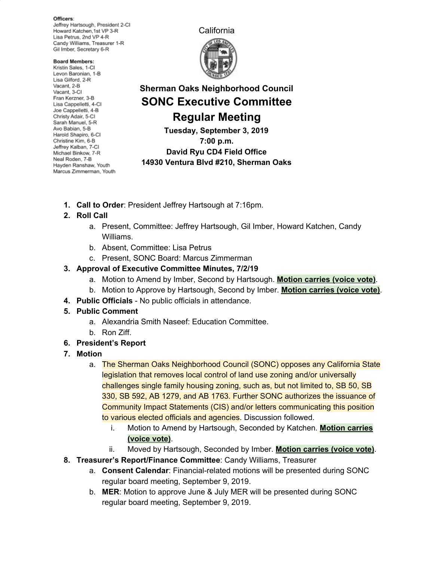#### Officers:

Jeffrey Hartsough, President 2-CI Howard Katchen, 1st VP 3-R Lisa Petrus, 2nd VP 4-R Candy Williams, Treasurer 1-R Gil Imber, Secretary 6-R

**Board Members:** 

Kristin Sales, 1-Cl Levon Baronian, 1-B Lisa Gilford, 2-R Vacant, 2-B Vacant, 3-CI Fran Kerzner, 3-B Lisa Cappelletti, 4-CI Joe Cappelletti, 4-B Christy Adair, 5-Cl Sarah Manuel, 5-R Avo Babian, 5-B Harold Shapiro, 6-CI Christine Kim, 6-B Jeffrey Kalban, 7-CI Michael Binkow, 7-R Neal Roden, 7-B Havden Ranshaw, Youth Marcus Zimmerman, Youth California



# **Sherman Oaks Neighborhood Council SONC Executive Committee Regular Meeting**

**Tuesday, September 3, 2019 7:00 p.m. David Ryu CD4 Field Office 14930 Ventura Blvd #210, Sherman Oaks**

**1. Call to Order**: President Jeffrey Hartsough at 7:16pm.

#### **2. Roll Call**

- a. Present, Committee: Jeffrey Hartsough, Gil Imber, Howard Katchen, Candy Williams.
- b. Absent, Committee: Lisa Petrus
- c. Present, SONC Board: Marcus Zimmerman

## **3. Approval of Executive Committee Minutes, 7/2/19**

- a. Motion to Amend by Imber, Second by Hartsough. **Motion carries (voice vote)**.
- b. Motion to Approve by Hartsough, Second by Imber. **Motion carries (voice vote)**.
- **4. Public Officials** No public officials in attendance.
- **5. Public Comment**
	- a. Alexandria Smith Naseef: Education Committee.
	- b. Ron Ziff.

#### **6. President's Report**

- **7. Motion**
	- a. The Sherman Oaks Neighborhood Council (SONC) opposes any California State legislation that removes local control of land use zoning and/or universally challenges single family housing zoning, such as, but not limited to, SB 50, SB 330, SB 592, AB 1279, and AB 1763. Further SONC authorizes the issuance of Community Impact Statements (CIS) and/or letters communicating this position to various elected officials and agencies. Discussion followed.
		- i. Motion to Amend by Hartsough, Seconded by Katchen. **Motion carries (voice vote)**.
		- ii. Moved by Hartsough, Seconded by Imber. **Motion carries (voice vote)**.
- **8. Treasurer's Report/Finance Committee**: Candy Williams, Treasurer
	- a. **Consent Calendar**: Financial-related motions will be presented during SONC regular board meeting, September 9, 2019.
	- b. **MER**: Motion to approve June & July MER will be presented during SONC regular board meeting, September 9, 2019.